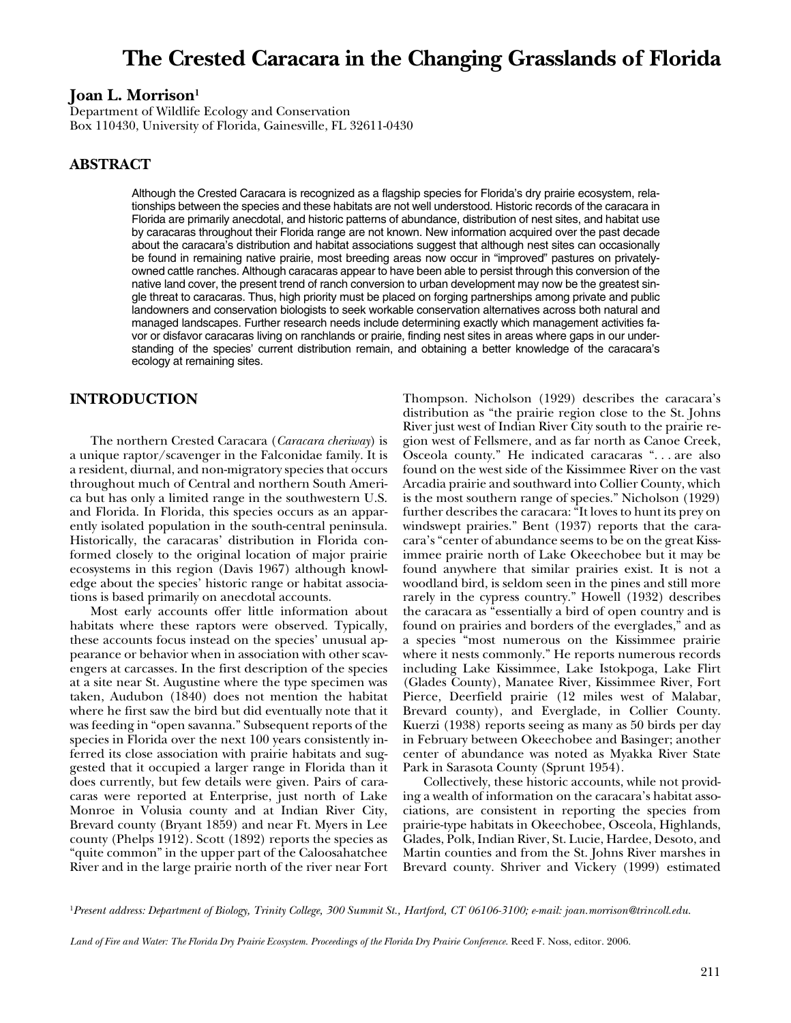# **The Crested Caracara in the Changing Grasslands of Florida**

## **Joan L. Morrison1**

Department of Wildlife Ecology and Conservation Box 110430, University of Florida, Gainesville, FL 32611-0430

## **ABSTRACT**

Although the Crested Caracara is recognized as a flagship species for Florida's dry prairie ecosystem, relationships between the species and these habitats are not well understood. Historic records of the caracara in Florida are primarily anecdotal, and historic patterns of abundance, distribution of nest sites, and habitat use by caracaras throughout their Florida range are not known. New information acquired over the past decade about the caracara's distribution and habitat associations suggest that although nest sites can occasionally be found in remaining native prairie, most breeding areas now occur in "improved" pastures on privatelyowned cattle ranches. Although caracaras appear to have been able to persist through this conversion of the native land cover, the present trend of ranch conversion to urban development may now be the greatest single threat to caracaras. Thus, high priority must be placed on forging partnerships among private and public landowners and conservation biologists to seek workable conservation alternatives across both natural and managed landscapes. Further research needs include determining exactly which management activities favor or disfavor caracaras living on ranchlands or prairie, finding nest sites in areas where gaps in our understanding of the species' current distribution remain, and obtaining a better knowledge of the caracara's ecology at remaining sites.

#### **INTRODUCTION**

The northern Crested Caracara (*Caracara cheriway*) is a unique raptor/scavenger in the Falconidae family. It is a resident, diurnal, and non-migratory species that occurs throughout much of Central and northern South America but has only a limited range in the southwestern U.S. and Florida. In Florida, this species occurs as an apparently isolated population in the south-central peninsula. Historically, the caracaras' distribution in Florida conformed closely to the original location of major prairie ecosystems in this region (Davis 1967) although knowledge about the species' historic range or habitat associations is based primarily on anecdotal accounts.

Most early accounts offer little information about habitats where these raptors were observed. Typically, these accounts focus instead on the species' unusual appearance or behavior when in association with other scavengers at carcasses. In the first description of the species at a site near St. Augustine where the type specimen was taken, Audubon (1840) does not mention the habitat where he first saw the bird but did eventually note that it was feeding in "open savanna." Subsequent reports of the species in Florida over the next 100 years consistently inferred its close association with prairie habitats and suggested that it occupied a larger range in Florida than it does currently, but few details were given. Pairs of caracaras were reported at Enterprise, just north of Lake Monroe in Volusia county and at Indian River City, Brevard county (Bryant 1859) and near Ft. Myers in Lee county (Phelps 1912). Scott (1892) reports the species as "quite common" in the upper part of the Caloosahatchee River and in the large prairie north of the river near Fort

Thompson. Nicholson (1929) describes the caracara's distribution as "the prairie region close to the St. Johns River just west of Indian River City south to the prairie region west of Fellsmere, and as far north as Canoe Creek, Osceola county." He indicated caracaras ". . . are also found on the west side of the Kissimmee River on the vast Arcadia prairie and southward into Collier County, which is the most southern range of species." Nicholson (1929) further describes the caracara: "It loves to hunt its prey on windswept prairies." Bent (1937) reports that the caracara's "center of abundance seems to be on the great Kissimmee prairie north of Lake Okeechobee but it may be found anywhere that similar prairies exist. It is not a woodland bird, is seldom seen in the pines and still more rarely in the cypress country." Howell (1932) describes the caracara as "essentially a bird of open country and is found on prairies and borders of the everglades," and as a species "most numerous on the Kissimmee prairie where it nests commonly." He reports numerous records including Lake Kissimmee, Lake Istokpoga, Lake Flirt (Glades County), Manatee River, Kissimmee River, Fort Pierce, Deerfield prairie (12 miles west of Malabar, Brevard county), and Everglade, in Collier County. Kuerzi (1938) reports seeing as many as 50 birds per day in February between Okeechobee and Basinger; another center of abundance was noted as Myakka River State Park in Sarasota County (Sprunt 1954).

Collectively, these historic accounts, while not providing a wealth of information on the caracara's habitat associations, are consistent in reporting the species from prairie-type habitats in Okeechobee, Osceola, Highlands, Glades, Polk, Indian River, St. Lucie, Hardee, Desoto, and Martin counties and from the St. Johns River marshes in Brevard county. Shriver and Vickery (1999) estimated

<sup>1</sup>*Present address: Department of Biology, Trinity College, 300 Summit St., Hartford, CT 06106-3100; e-mail: joan.morrison@trincoll.edu.*

*Land of Fire and Water: The Florida Dry Prairie Ecosystem. Proceedings of the Florida Dry Prairie Conference*. Reed F. Noss, editor. 2006.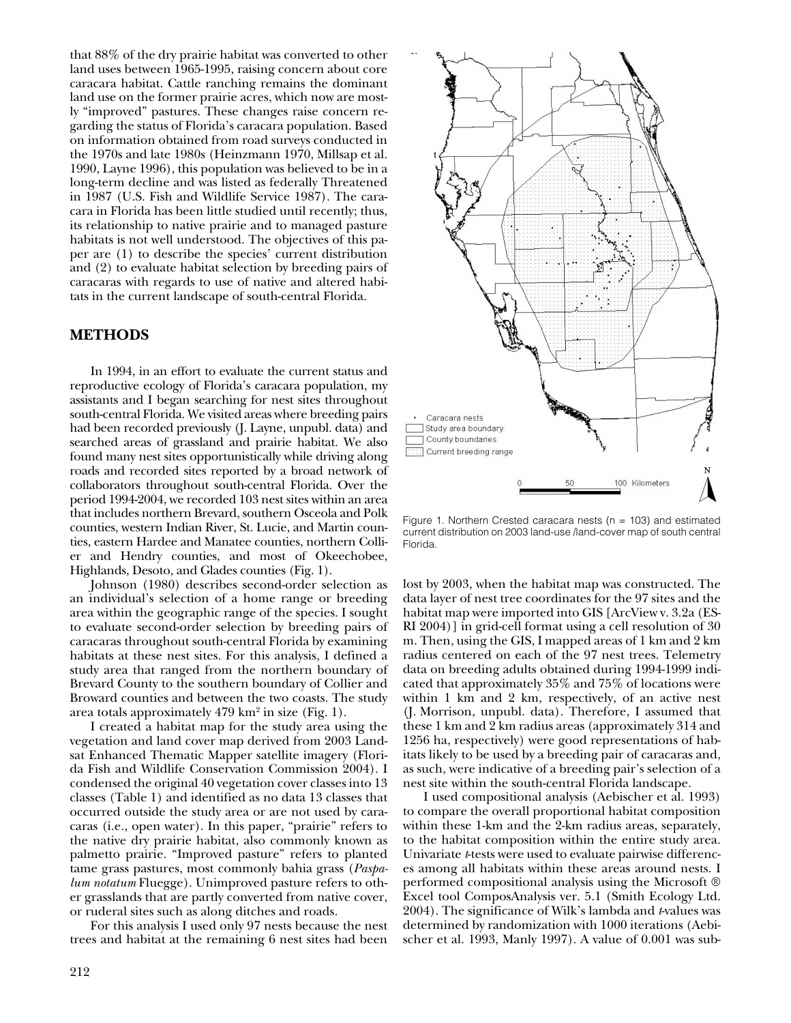that 88% of the dry prairie habitat was converted to other land uses between 1965-1995, raising concern about core caracara habitat. Cattle ranching remains the dominant land use on the former prairie acres, which now are mostly "improved" pastures. These changes raise concern regarding the status of Florida's caracara population. Based on information obtained from road surveys conducted in the 1970s and late 1980s (Heinzmann 1970, Millsap et al. 1990, Layne 1996), this population was believed to be in a long-term decline and was listed as federally Threatened in 1987 (U.S. Fish and Wildlife Service 1987). The caracara in Florida has been little studied until recently; thus, its relationship to native prairie and to managed pasture habitats is not well understood. The objectives of this paper are (1) to describe the species' current distribution and (2) to evaluate habitat selection by breeding pairs of caracaras with regards to use of native and altered habitats in the current landscape of south-central Florida.

#### **METHODS**

In 1994, in an effort to evaluate the current status and reproductive ecology of Florida's caracara population, my assistants and I began searching for nest sites throughout south-central Florida. We visited areas where breeding pairs had been recorded previously (J. Layne, unpubl. data) and searched areas of grassland and prairie habitat. We also found many nest sites opportunistically while driving along roads and recorded sites reported by a broad network of collaborators throughout south-central Florida. Over the period 1994-2004, we recorded 103 nest sites within an area that includes northern Brevard, southern Osceola and Polk counties, western Indian River, St. Lucie, and Martin counties, eastern Hardee and Manatee counties, northern Collier and Hendry counties, and most of Okeechobee, Highlands, Desoto, and Glades counties (Fig. 1).

Johnson (1980) describes second-order selection as an individual's selection of a home range or breeding area within the geographic range of the species. I sought to evaluate second-order selection by breeding pairs of caracaras throughout south-central Florida by examining habitats at these nest sites. For this analysis, I defined a study area that ranged from the northern boundary of Brevard County to the southern boundary of Collier and Broward counties and between the two coasts. The study area totals approximately 479 km2 in size (Fig. 1).

I created a habitat map for the study area using the vegetation and land cover map derived from 2003 Landsat Enhanced Thematic Mapper satellite imagery (Florida Fish and Wildlife Conservation Commission 2004). I condensed the original 40 vegetation cover classes into 13 classes (Table 1) and identified as no data 13 classes that occurred outside the study area or are not used by caracaras (i.e., open water). In this paper, "prairie" refers to the native dry prairie habitat, also commonly known as palmetto prairie. "Improved pasture" refers to planted tame grass pastures, most commonly bahia grass (*Paspalum notatum* Fluegge). Unimproved pasture refers to other grasslands that are partly converted from native cover, or ruderal sites such as along ditches and roads.

For this analysis I used only 97 nests because the nest trees and habitat at the remaining 6 nest sites had been



Figure 1. Northern Crested caracara nests ( $n = 103$ ) and estimated current distribution on 2003 land-use /land-cover map of south central Florida.

lost by 2003, when the habitat map was constructed. The data layer of nest tree coordinates for the 97 sites and the habitat map were imported into GIS [ArcView v. 3.2a (ES-RI 2004)] in grid-cell format using a cell resolution of 30 m. Then, using the GIS, I mapped areas of 1 km and 2 km radius centered on each of the 97 nest trees. Telemetry data on breeding adults obtained during 1994-1999 indicated that approximately 35% and 75% of locations were within 1 km and 2 km, respectively, of an active nest (J. Morrison, unpubl. data). Therefore, I assumed that these 1 km and 2 km radius areas (approximately 314 and 1256 ha, respectively) were good representations of habitats likely to be used by a breeding pair of caracaras and, as such, were indicative of a breeding pair's selection of a nest site within the south-central Florida landscape.

I used compositional analysis (Aebischer et al. 1993) to compare the overall proportional habitat composition within these 1-km and the 2-km radius areas, separately, to the habitat composition within the entire study area. Univariate *t*-tests were used to evaluate pairwise differences among all habitats within these areas around nests. I performed compositional analysis using the Microsoft ® Excel tool ComposAnalysis ver. 5.1 (Smith Ecology Ltd. 2004). The significance of Wilk's lambda and *t*-values was determined by randomization with 1000 iterations (Aebischer et al. 1993, Manly 1997). A value of 0.001 was sub-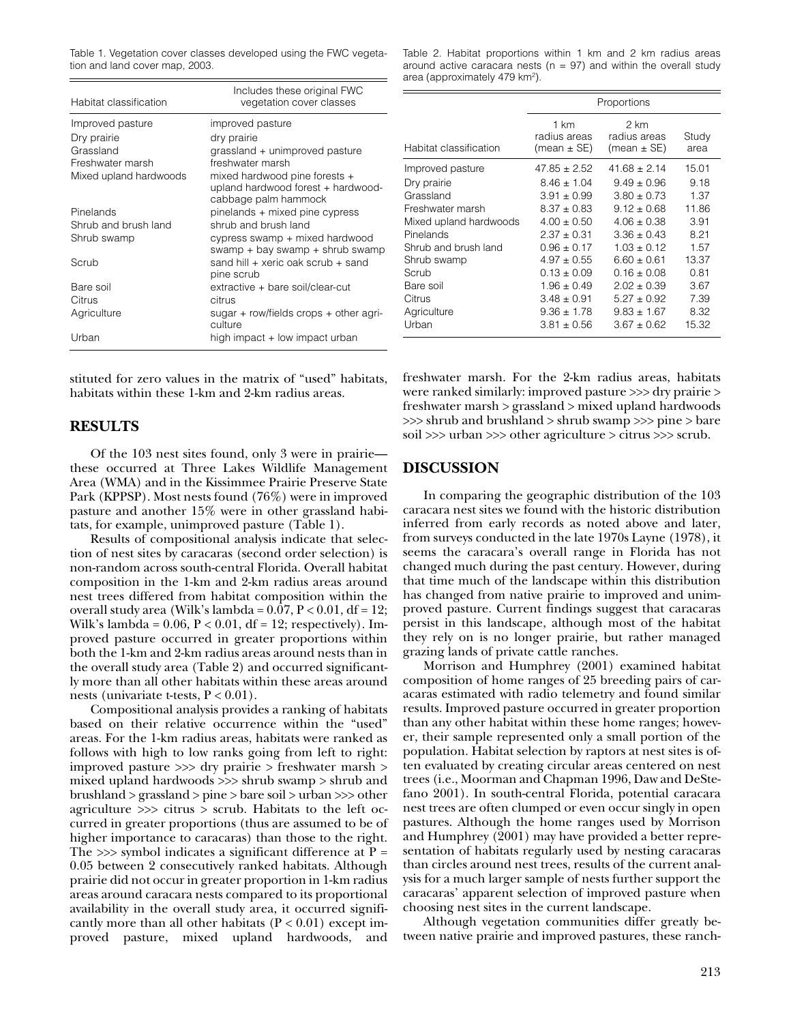Table 1. Vegetation cover classes developed using the FWC vegetation and land cover map, 2003.

| Habitat classification | Includes these original FWC<br>vegetation cover classes                                     |  |  |
|------------------------|---------------------------------------------------------------------------------------------|--|--|
| Improved pasture       | improved pasture                                                                            |  |  |
| Dry prairie            | dry prairie                                                                                 |  |  |
| Grassland              | grassland + unimproved pasture                                                              |  |  |
| Freshwater marsh       | freshwater marsh                                                                            |  |  |
| Mixed upland hardwoods | mixed hardwood pine forests +<br>upland hardwood forest + hardwood-<br>cabbage palm hammock |  |  |
| Pinelands              | pinelands + mixed pine cypress                                                              |  |  |
| Shrub and brush land   | shrub and brush land                                                                        |  |  |
| Shrub swamp            | cypress swamp + mixed hardwood<br>swamp + bay swamp + shrub swamp                           |  |  |
| Scrub                  | sand hill + xeric oak scrub + sand<br>pine scrub                                            |  |  |
| Bare soil              | extractive + bare soil/clear-cut                                                            |  |  |
| Citrus                 | citrus                                                                                      |  |  |
| Agriculture            | sugar + row/fields crops + other agri-<br>culture                                           |  |  |
| Urban                  | high impact + low impact urban                                                              |  |  |

Table 2. Habitat proportions within 1 km and 2 km radius areas around active caracara nests ( $n = 97$ ) and within the overall study area (approximately 479 km2).

|                        | Proportions                             |                                     |               |
|------------------------|-----------------------------------------|-------------------------------------|---------------|
| Habitat classification | 1 km<br>radius areas<br>(mean $\pm$ SE) | 2 km<br>radius areas<br>(mean ± SE) | Study<br>area |
| Improved pasture       | $47.85 \pm 2.52$                        | $41.68 \pm 2.14$                    | 15.01         |
| Dry prairie            | $8.46 \pm 1.04$                         | $9.49 \pm 0.96$                     | 9.18          |
| Grassland              | $3.91 \pm 0.99$                         | $3.80 \pm 0.73$                     | 1.37          |
| Freshwater marsh       | $8.37 \pm 0.83$                         | $9.12 \pm 0.68$                     | 11.86         |
| Mixed upland hardwoods | $4.00 \pm 0.50$                         | $4.06 \pm 0.38$                     | 3.91          |
| Pinelands              | $2.37 \pm 0.31$                         | $3.36 \pm 0.43$                     | 8.21          |
| Shrub and brush land   | $0.96 \pm 0.17$                         | $1.03 \pm 0.12$                     | 1.57          |
| Shrub swamp            | $4.97 \pm 0.55$                         | $6.60 \pm 0.61$                     | 13.37         |
| Scrub                  | $0.13 \pm 0.09$                         | $0.16 \pm 0.08$                     | 0.81          |
| Bare soil              | $1.96 \pm 0.49$                         | $2.02 \pm 0.39$                     | 3.67          |
| Citrus                 | $3.48 \pm 0.91$                         | $5.27 \pm 0.92$                     | 7.39          |
| Agriculture            | $9.36 \pm 1.78$                         | $9.83 \pm 1.67$                     | 8.32          |
| Urban                  | $3.81 \pm 0.56$                         | $3.67 \pm 0.62$                     | 15.32         |

stituted for zero values in the matrix of "used" habitats, habitats within these 1-km and 2-km radius areas.

#### **RESULTS**

Of the 103 nest sites found, only 3 were in prairie these occurred at Three Lakes Wildlife Management Area (WMA) and in the Kissimmee Prairie Preserve State Park (KPPSP). Most nests found (76%) were in improved pasture and another 15% were in other grassland habitats, for example, unimproved pasture (Table 1).

Results of compositional analysis indicate that selection of nest sites by caracaras (second order selection) is non-random across south-central Florida. Overall habitat composition in the 1-km and 2-km radius areas around nest trees differed from habitat composition within the overall study area (Wilk's lambda =  $0.\overline{07}$ , P <  $0.01$ , df = 12; Wilk's lambda =  $0.06$ ,  $P < 0.01$ , df = 12; respectively). Improved pasture occurred in greater proportions within both the 1-km and 2-km radius areas around nests than in the overall study area (Table 2) and occurred significantly more than all other habitats within these areas around nests (univariate t-tests,  $P < 0.01$ ).

Compositional analysis provides a ranking of habitats based on their relative occurrence within the "used" areas. For the 1-km radius areas, habitats were ranked as follows with high to low ranks going from left to right: improved pasture >>> dry prairie > freshwater marsh > mixed upland hardwoods >>> shrub swamp > shrub and brushland > grassland > pine > bare soil > urban >>> other agriculture >>> citrus > scrub. Habitats to the left occurred in greater proportions (thus are assumed to be of higher importance to caracaras) than those to the right. The  $\gg$  symbol indicates a significant difference at P = 0.05 between 2 consecutively ranked habitats. Although prairie did not occur in greater proportion in 1-km radius areas around caracara nests compared to its proportional availability in the overall study area, it occurred significantly more than all other habitats  $(P < 0.01)$  except improved pasture, mixed upland hardwoods, and

freshwater marsh. For the 2-km radius areas, habitats were ranked similarly: improved pasture >>> dry prairie > freshwater marsh > grassland > mixed upland hardwoods >>> shrub and brushland > shrub swamp >>> pine > bare soil >>> urban >>> other agriculture > citrus >>> scrub.

## **DISCUSSION**

In comparing the geographic distribution of the 103 caracara nest sites we found with the historic distribution inferred from early records as noted above and later, from surveys conducted in the late 1970s Layne (1978), it seems the caracara's overall range in Florida has not changed much during the past century. However, during that time much of the landscape within this distribution has changed from native prairie to improved and unimproved pasture. Current findings suggest that caracaras persist in this landscape, although most of the habitat they rely on is no longer prairie, but rather managed grazing lands of private cattle ranches.

Morrison and Humphrey (2001) examined habitat composition of home ranges of 25 breeding pairs of caracaras estimated with radio telemetry and found similar results. Improved pasture occurred in greater proportion than any other habitat within these home ranges; however, their sample represented only a small portion of the population. Habitat selection by raptors at nest sites is often evaluated by creating circular areas centered on nest trees (i.e., Moorman and Chapman 1996, Daw and DeStefano 2001). In south-central Florida, potential caracara nest trees are often clumped or even occur singly in open pastures. Although the home ranges used by Morrison and Humphrey (2001) may have provided a better representation of habitats regularly used by nesting caracaras than circles around nest trees, results of the current analysis for a much larger sample of nests further support the caracaras' apparent selection of improved pasture when choosing nest sites in the current landscape.

Although vegetation communities differ greatly between native prairie and improved pastures, these ranch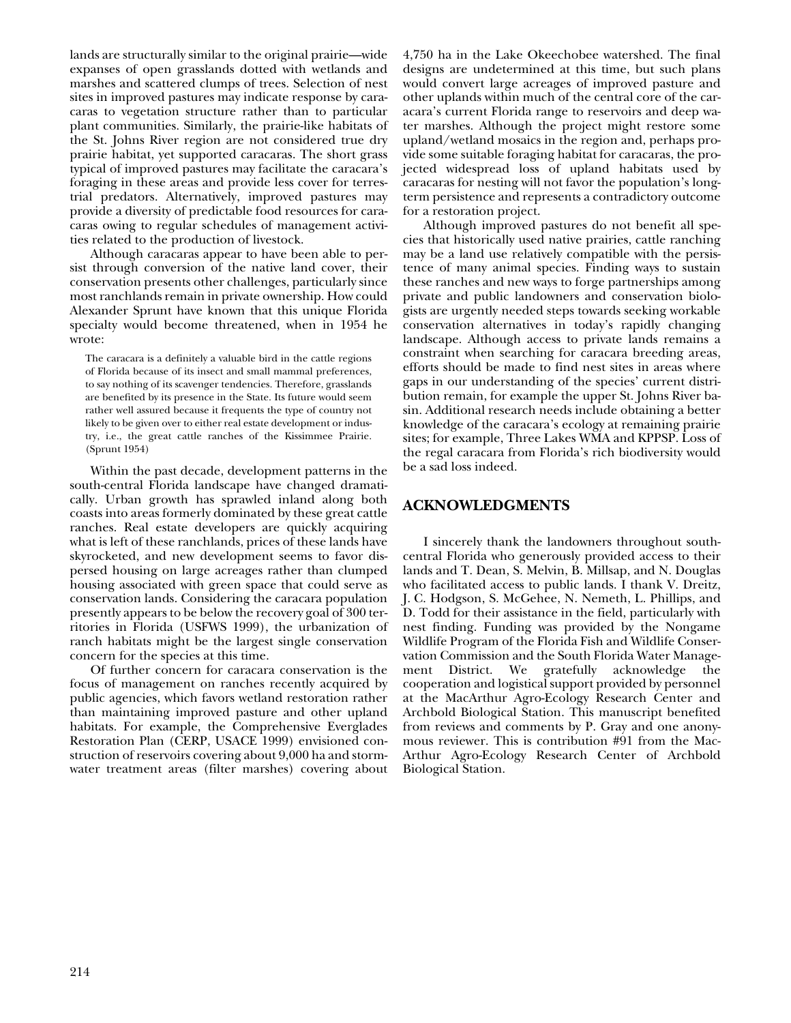lands are structurally similar to the original prairie—wide expanses of open grasslands dotted with wetlands and marshes and scattered clumps of trees. Selection of nest sites in improved pastures may indicate response by caracaras to vegetation structure rather than to particular plant communities. Similarly, the prairie-like habitats of the St. Johns River region are not considered true dry prairie habitat, yet supported caracaras. The short grass typical of improved pastures may facilitate the caracara's foraging in these areas and provide less cover for terrestrial predators. Alternatively, improved pastures may provide a diversity of predictable food resources for caracaras owing to regular schedules of management activities related to the production of livestock.

Although caracaras appear to have been able to persist through conversion of the native land cover, their conservation presents other challenges, particularly since most ranchlands remain in private ownership. How could Alexander Sprunt have known that this unique Florida specialty would become threatened, when in 1954 he wrote:

The caracara is a definitely a valuable bird in the cattle regions of Florida because of its insect and small mammal preferences, to say nothing of its scavenger tendencies. Therefore, grasslands are benefited by its presence in the State. Its future would seem rather well assured because it frequents the type of country not likely to be given over to either real estate development or industry, i.e., the great cattle ranches of the Kissimmee Prairie. (Sprunt 1954)

Within the past decade, development patterns in the south-central Florida landscape have changed dramatically. Urban growth has sprawled inland along both coasts into areas formerly dominated by these great cattle ranches. Real estate developers are quickly acquiring what is left of these ranchlands, prices of these lands have skyrocketed, and new development seems to favor dispersed housing on large acreages rather than clumped housing associated with green space that could serve as conservation lands. Considering the caracara population presently appears to be below the recovery goal of 300 territories in Florida (USFWS 1999), the urbanization of ranch habitats might be the largest single conservation concern for the species at this time.

Of further concern for caracara conservation is the focus of management on ranches recently acquired by public agencies, which favors wetland restoration rather than maintaining improved pasture and other upland habitats. For example, the Comprehensive Everglades Restoration Plan (CERP, USACE 1999) envisioned construction of reservoirs covering about 9,000 ha and stormwater treatment areas (filter marshes) covering about

4,750 ha in the Lake Okeechobee watershed. The final designs are undetermined at this time, but such plans would convert large acreages of improved pasture and other uplands within much of the central core of the caracara's current Florida range to reservoirs and deep water marshes. Although the project might restore some upland/wetland mosaics in the region and, perhaps provide some suitable foraging habitat for caracaras, the projected widespread loss of upland habitats used by caracaras for nesting will not favor the population's longterm persistence and represents a contradictory outcome for a restoration project.

Although improved pastures do not benefit all species that historically used native prairies, cattle ranching may be a land use relatively compatible with the persistence of many animal species. Finding ways to sustain these ranches and new ways to forge partnerships among private and public landowners and conservation biologists are urgently needed steps towards seeking workable conservation alternatives in today's rapidly changing landscape. Although access to private lands remains a constraint when searching for caracara breeding areas, efforts should be made to find nest sites in areas where gaps in our understanding of the species' current distribution remain, for example the upper St. Johns River basin. Additional research needs include obtaining a better knowledge of the caracara's ecology at remaining prairie sites; for example, Three Lakes WMA and KPPSP. Loss of the regal caracara from Florida's rich biodiversity would be a sad loss indeed.

# **ACKNOWLEDGMENTS**

I sincerely thank the landowners throughout southcentral Florida who generously provided access to their lands and T. Dean, S. Melvin, B. Millsap, and N. Douglas who facilitated access to public lands. I thank V. Dreitz, J. C. Hodgson, S. McGehee, N. Nemeth, L. Phillips, and D. Todd for their assistance in the field, particularly with nest finding. Funding was provided by the Nongame Wildlife Program of the Florida Fish and Wildlife Conservation Commission and the South Florida Water Management District. We gratefully acknowledge the cooperation and logistical support provided by personnel at the MacArthur Agro-Ecology Research Center and Archbold Biological Station. This manuscript benefited from reviews and comments by P. Gray and one anonymous reviewer. This is contribution #91 from the Mac-Arthur Agro-Ecology Research Center of Archbold Biological Station.